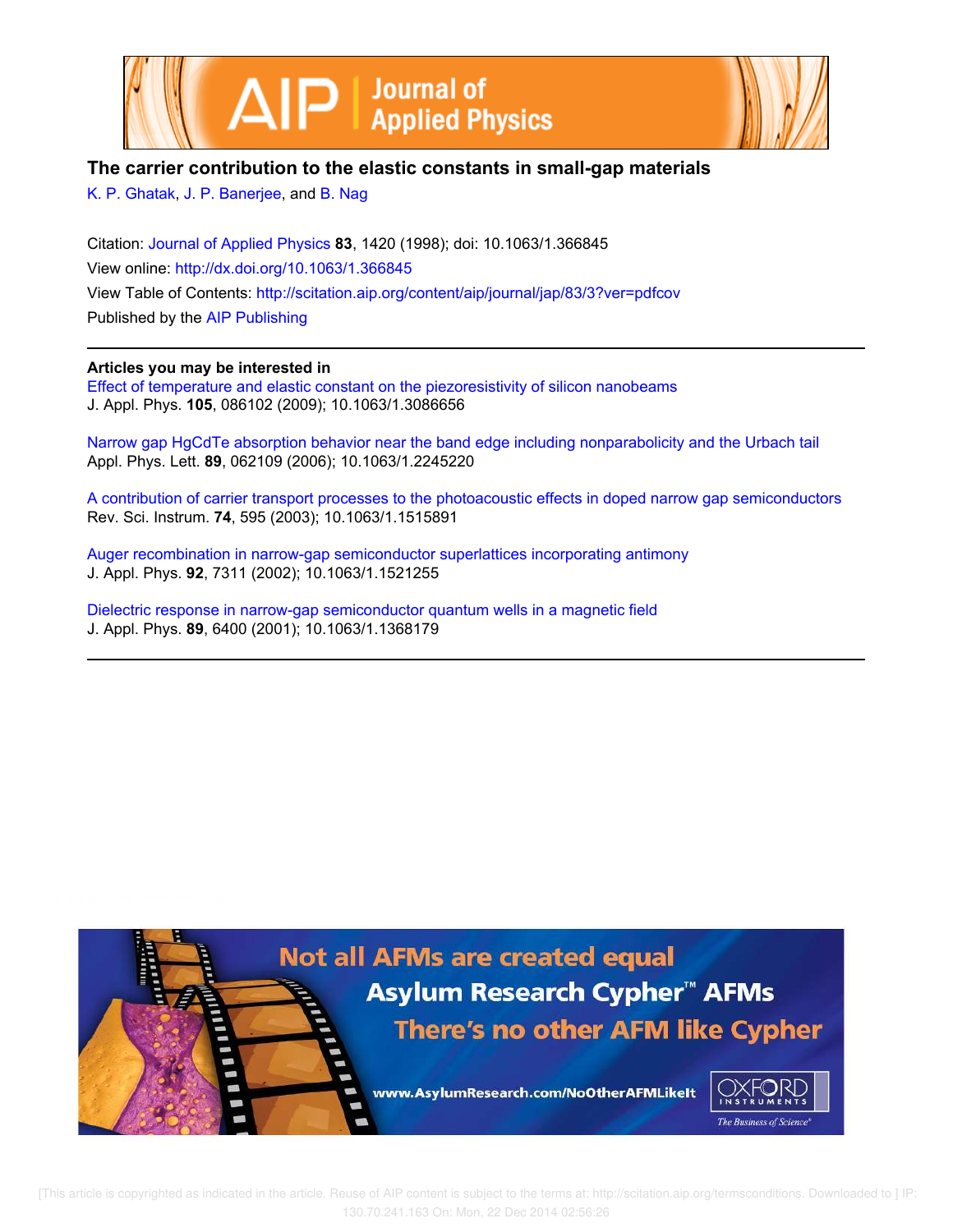



# **The carrier contribution to the elastic constants in small-gap materials**

K. P. Ghatak, J. P. Banerjee, and B. Nag

Citation: Journal of Applied Physics **83**, 1420 (1998); doi: 10.1063/1.366845 View online: http://dx.doi.org/10.1063/1.366845 View Table of Contents: http://scitation.aip.org/content/aip/journal/jap/83/3?ver=pdfcov Published by the AIP Publishing

# **Articles you may be interested in**

Effect of temperature and elastic constant on the piezoresistivity of silicon nanobeams J. Appl. Phys. **105**, 086102 (2009); 10.1063/1.3086656

Narrow gap HgCdTe absorption behavior near the band edge including nonparabolicity and the Urbach tail Appl. Phys. Lett. **89**, 062109 (2006); 10.1063/1.2245220

A contribution of carrier transport processes to the photoacoustic effects in doped narrow gap semiconductors Rev. Sci. Instrum. **74**, 595 (2003); 10.1063/1.1515891

Auger recombination in narrow-gap semiconductor superlattices incorporating antimony J. Appl. Phys. **92**, 7311 (2002); 10.1063/1.1521255

Dielectric response in narrow-gap semiconductor quantum wells in a magnetic field J. Appl. Phys. **89**, 6400 (2001); 10.1063/1.1368179

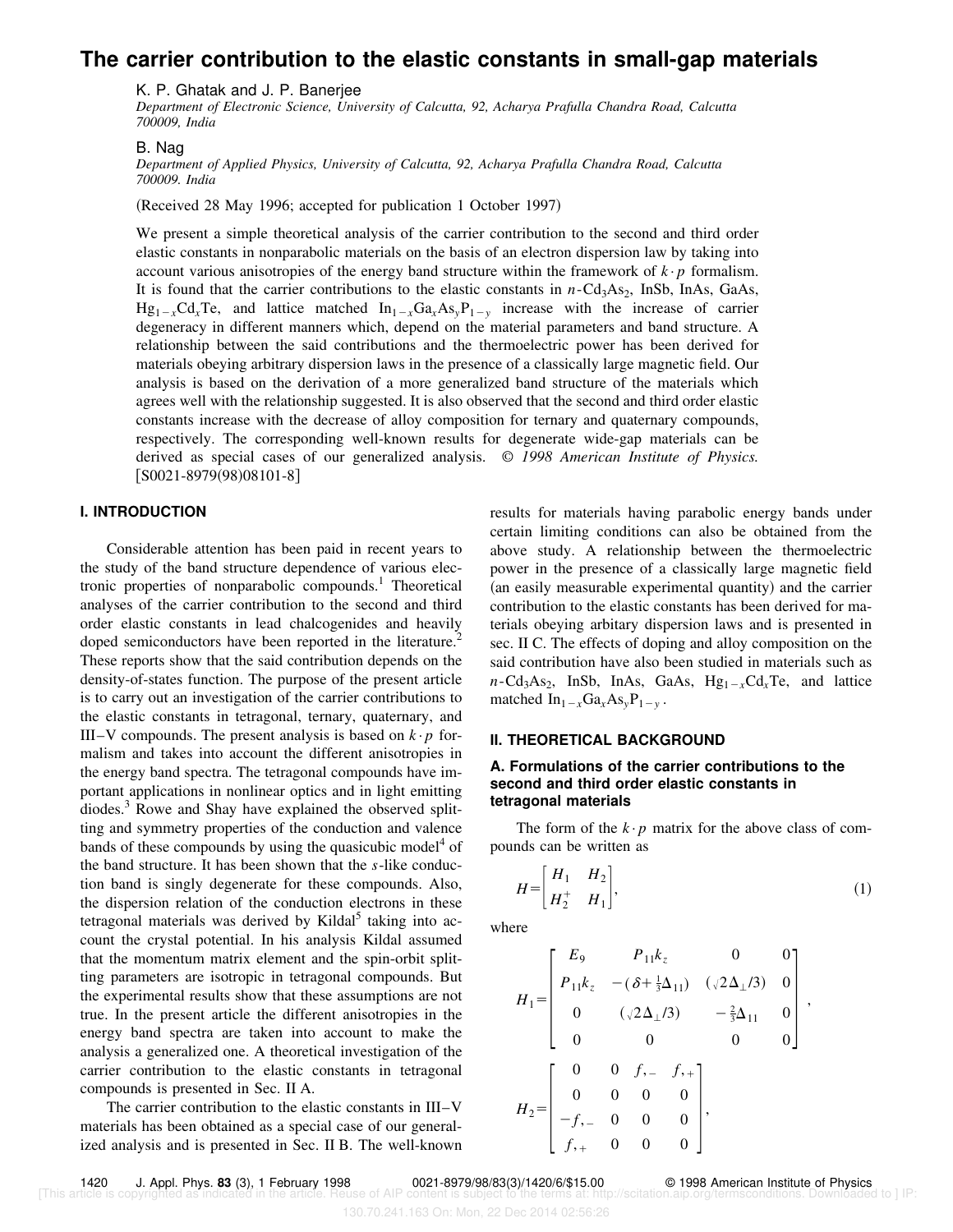# **The carrier contribution to the elastic constants in small-gap materials**

K. P. Ghatak and J. P. Banerjee

*Department of Electronic Science, University of Calcutta, 92, Acharya Prafulla Chandra Road, Calcutta 700009, India*

#### B. Nag

*Department of Applied Physics, University of Calcutta, 92, Acharya Prafulla Chandra Road, Calcutta 700009. India*

(Received 28 May 1996; accepted for publication 1 October 1997)

We present a simple theoretical analysis of the carrier contribution to the second and third order elastic constants in nonparabolic materials on the basis of an electron dispersion law by taking into account various anisotropies of the energy band structure within the framework of  $k \cdot p$  formalism. It is found that the carrier contributions to the elastic constants in  $n$ -Cd<sub>3</sub>As<sub>2</sub>, InSb, InAs, GaAs,  $Hg_{1-x}Cd_xTe$ , and lattice matched  $In_{1-x}Ga_xAs_yP_{1-y}$  increase with the increase of carrier degeneracy in different manners which, depend on the material parameters and band structure. A relationship between the said contributions and the thermoelectric power has been derived for materials obeying arbitrary dispersion laws in the presence of a classically large magnetic field. Our analysis is based on the derivation of a more generalized band structure of the materials which agrees well with the relationship suggested. It is also observed that the second and third order elastic constants increase with the decrease of alloy composition for ternary and quaternary compounds, respectively. The corresponding well-known results for degenerate wide-gap materials can be derived as special cases of our generalized analysis. © *1998 American Institute of Physics.*  $[50021 - 8979(98)08101 - 8]$ 

## **I. INTRODUCTION**

Considerable attention has been paid in recent years to the study of the band structure dependence of various electronic properties of nonparabolic compounds.<sup>1</sup> Theoretical analyses of the carrier contribution to the second and third order elastic constants in lead chalcogenides and heavily doped semiconductors have been reported in the literature.<sup>2</sup> These reports show that the said contribution depends on the density-of-states function. The purpose of the present article is to carry out an investigation of the carrier contributions to the elastic constants in tetragonal, ternary, quaternary, and III–V compounds. The present analysis is based on  $k \cdot p$  formalism and takes into account the different anisotropies in the energy band spectra. The tetragonal compounds have important applications in nonlinear optics and in light emitting diodes.<sup>3</sup> Rowe and Shay have explained the observed splitting and symmetry properties of the conduction and valence bands of these compounds by using the quasicubic model<sup>4</sup> of the band structure. It has been shown that the *s*-like conduction band is singly degenerate for these compounds. Also, the dispersion relation of the conduction electrons in these tetragonal materials was derived by Kildal<sup>5</sup> taking into account the crystal potential. In his analysis Kildal assumed that the momentum matrix element and the spin-orbit splitting parameters are isotropic in tetragonal compounds. But the experimental results show that these assumptions are not true. In the present article the different anisotropies in the energy band spectra are taken into account to make the analysis a generalized one. A theoretical investigation of the carrier contribution to the elastic constants in tetragonal compounds is presented in Sec. II A.

The carrier contribution to the elastic constants in III–V materials has been obtained as a special case of our generalized analysis and is presented in Sec. II B. The well-known results for materials having parabolic energy bands under certain limiting conditions can also be obtained from the above study. A relationship between the thermoelectric power in the presence of a classically large magnetic field (an easily measurable experimental quantity) and the carrier contribution to the elastic constants has been derived for materials obeying arbitary dispersion laws and is presented in sec. II C. The effects of doping and alloy composition on the said contribution have also been studied in materials such as  $n\text{-Cd}_3\text{As}_2$ , InSb, InAs, GaAs,  $\text{Hg}_{1-x}\text{Cd}_x\text{Te}$ , and lattice matched  $In_{1-x}Ga_xAs_yP_{1-y}$ .

#### **II. THEORETICAL BACKGROUND**

## **A. Formulations of the carrier contributions to the second and third order elastic constants in tetragonal materials**

The form of the  $k \cdot p$  matrix for the above class of compounds can be written as

$$
H = \begin{bmatrix} H_1 & H_2 \\ H_2^+ & H_1 \end{bmatrix},
$$
 (1)

where

$$
H_1 = \begin{bmatrix} E_9 & P_{11}k_z & 0 & 0 \\ P_{11}k_z & -(\delta + \frac{1}{3}\Delta_{11}) & (\sqrt{2}\Delta_{\perp}/3) & 0 \\ 0 & (\sqrt{2}\Delta_{\perp}/3) & -\frac{2}{3}\Delta_{11} & 0 \\ 0 & 0 & 0 & 0 \end{bmatrix},
$$
  
\n
$$
H_2 = \begin{bmatrix} 0 & 0 & f, & f, \\ 0 & 0 & 0 & 0 \\ -f, & 0 & 0 & 0 \\ f, & 0 & 0 & 0 \end{bmatrix},
$$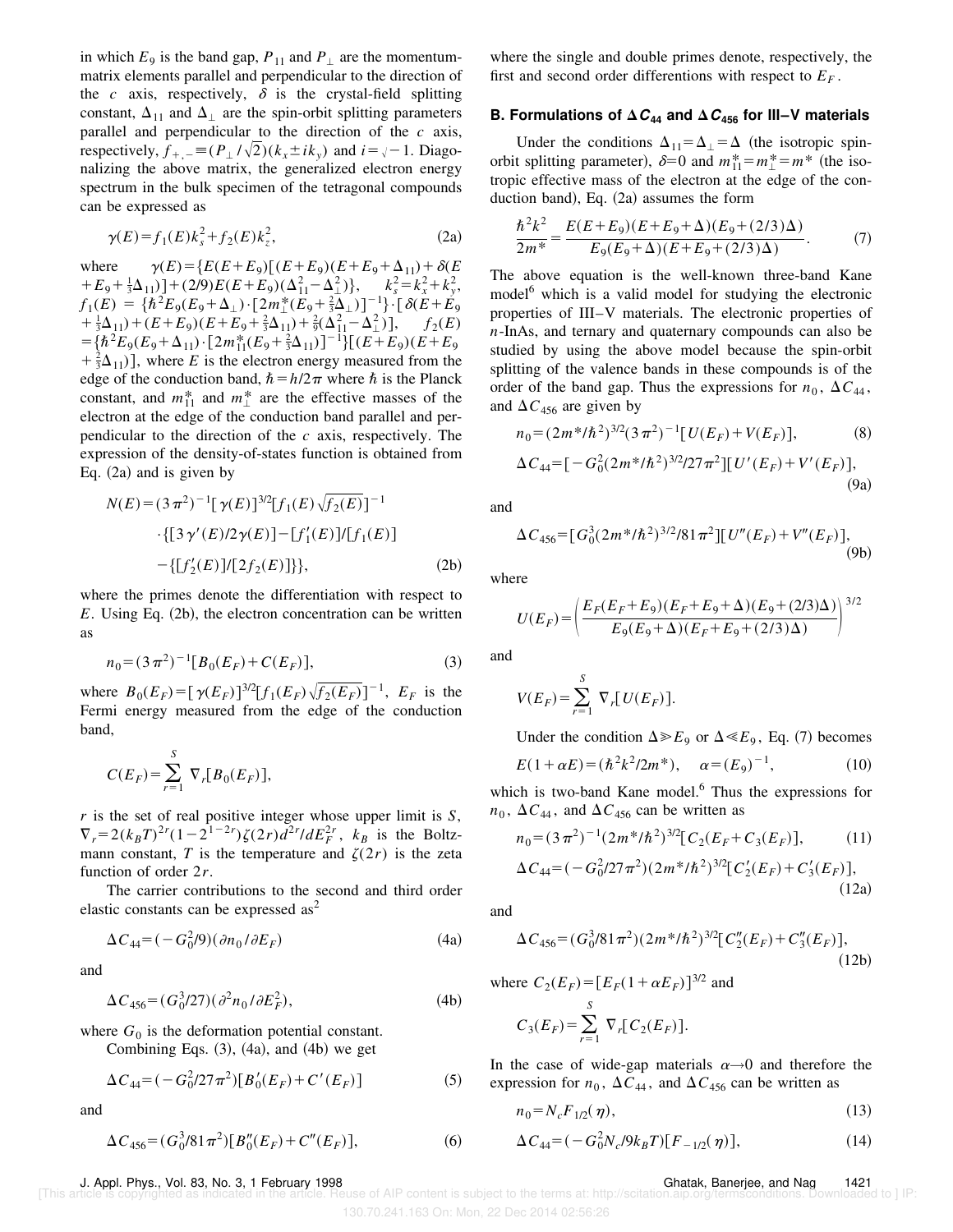in which  $E_9$  is the band gap,  $P_{11}$  and  $P_{\perp}$  are the momentummatrix elements parallel and perpendicular to the direction of the  $c$  axis, respectively,  $\delta$  is the crystal-field splitting constant,  $\Delta_{11}$  and  $\Delta_{\perp}$  are the spin-orbit splitting parameters parallel and perpendicular to the direction of the *c* axis, respectively,  $f_{+,-} \equiv (P_{\perp}/\sqrt{2})(k_x \pm ik_y)$  and  $i = \sqrt{-1}$ . Diagonalizing the above matrix, the generalized electron energy spectrum in the bulk specimen of the tetragonal compounds can be expressed as

$$
\gamma(E) = f_1(E)k_s^2 + f_2(E)k_z^2,\tag{2a}
$$

where  $\gamma(E) = \{E(E + E_9) \left[ (E + E_9)(E + E_9 + \Delta_{11}) + \delta(E_9) \right]$  $+E_9+\frac{1}{3}\Delta_{11}$ ] + (2/9)  $E(E+E_9)(\Delta_{11}^2-\Delta_{\perp}^2)$ ,  $k_s^2=k_x^2+k_y^2$ ,  $f_1(E) = \{\hbar^2 E_9(E_9 + \Delta_\perp) \cdot [2m_\perp^*(E_9 + \frac{2}{3}\Delta_\perp)]^{-1}\} \cdot [\delta(E + E_9)]$  $+\frac{1}{3}\Delta_{11}$  +  $(E+E_9)$   $(E+E_9 + \frac{2}{3}\Delta_{11}$  +  $\frac{2}{9}(\Delta_{11}^2 - \Delta_{\perp}^2)$  ],  $f_2(E)$  $=\left[\hbar^2 E_9(E_9 + \Delta_{11}) \cdot [2m_{11}^*(E_9 + \frac{2}{3}\Delta_{11})]^{-1}\right] \left[(E + E_9)(E + E_9)\right]$  $+\frac{2}{3}\Delta_{11}$ ), where *E* is the electron energy measured from the edge of the conduction band,  $\hbar = h/2\pi$  where  $\hbar$  is the Planck constant, and  $m_{11}^*$  and  $m_{\perp}^*$  are the effective masses of the electron at the edge of the conduction band parallel and perpendicular to the direction of the *c* axis, respectively. The expression of the density-of-states function is obtained from Eq.  $(2a)$  and is given by

$$
N(E) = (3 \pi^2)^{-1} [\gamma(E)]^{3/2} [f_1(E) \sqrt{f_2(E)}]^{-1}
$$
  
 
$$
\cdot \{ [3 \gamma'(E)/2 \gamma(E)] - [f'_1(E)] / [f_1(E)] - \{ [f'_2(E)] / [2 f_2(E)] \} \},
$$
 (2b)

where the primes denote the differentiation with respect to  $E$ . Using Eq.  $(2b)$ , the electron concentration can be written as

$$
n_0 = (3\pi^2)^{-1} [B_0(E_F) + C(E_F)],
$$
\n(3)

where  $B_0(E_F) = [\gamma(E_F)]^{3/2} [f_1(E_F) \sqrt{f_2(E_F)}]^{-1}$ ,  $E_F$  is the Fermi energy measured from the edge of the conduction band,

$$
C(E_F) = \sum_{r=1}^{S} \nabla_r [B_0(E_F)],
$$

*r* is the set of real positive integer whose upper limit is *S*,  $\nabla_r = 2(k_B T)^{2r} (1 - 2^{1 - 2r}) \zeta(2r) d^{2r} / dE_F^{2r}$ ,  $k_B$  is the Boltzmann constant, *T* is the temperature and  $\zeta(2r)$  is the zeta function of order 2*r*.

The carrier contributions to the second and third order elastic constants can be expressed  $as<sup>2</sup>$ 

$$
\Delta C_{44} = (-G_0^2/9)(\partial n_0/\partial E_F) \tag{4a}
$$

and

$$
\Delta C_{456} = (G_0^3/27)(\partial^2 n_0 / \partial E_F^2),\tag{4b}
$$

where  $G_0$  is the deformation potential constant.

Combining Eqs.  $(3)$ ,  $(4a)$ , and  $(4b)$  we get

$$
\Delta C_{44} = (-G_0^2/27\pi^2)[B_0'(E_F) + C'(E_F)]
$$
\n(5)

and

$$
\Delta C_{456} = (G_0^3 / 81 \pi^2) [B_0''(E_F) + C''(E_F)],\tag{6}
$$

where the single and double primes denote, respectively, the first and second order differentions with respect to  $E_F$ .

### **B. Formulations of**  $\Delta C_{44}$  **and**  $\Delta C_{456}$  **for III–V materials**

Under the conditions  $\Delta_{11} = \Delta_{\perp} = \Delta$  (the isotropic spinorbit splitting parameter),  $\delta = 0$  and  $m_{11}^* = m_{\perp}^* = m^*$  (the isotropic effective mass of the electron at the edge of the conduction band), Eq.  $(2a)$  assumes the form

$$
\frac{\hbar^2 k^2}{2m^*} = \frac{E(E + E_9)(E + E_9 + \Delta)(E_9 + (2/3)\Delta)}{E_9(E_9 + \Delta)(E + E_9 + (2/3)\Delta)}.
$$
 (7)

The above equation is the well-known three-band Kane model<sup>6</sup> which is a valid model for studying the electronic properties of III–V materials. The electronic properties of *n*-InAs, and ternary and quaternary compounds can also be studied by using the above model because the spin-orbit splitting of the valence bands in these compounds is of the order of the band gap. Thus the expressions for  $n_0$ ,  $\Delta C_{44}$ , and  $\Delta C_{456}$  are given by

$$
n_0 = (2m^* / \hbar^2)^{3/2} (3\pi^2)^{-1} [U(E_F) + V(E_F)],
$$
 (8)

$$
\Delta C_{44} = \left[ -G_0^2 (2m^* / \hbar^2)^{3/2} / 27 \pi^2 \right] \left[ U'(E_F) + V'(E_F) \right],\tag{9a}
$$

and

$$
\Delta C_{456} = [G_0^3 (2m^* / \hbar^2)^{3/2} / 81 \pi^2] [U''(E_F) + V''(E_F)],
$$
\n(9b)

where

$$
U(E_F) = \left(\frac{E_F(E_F + E_9)(E_F + E_9 + \Delta)(E_9 + (2/3)\Delta)}{E_9(E_9 + \Delta)(E_F + E_9 + (2/3)\Delta)}\right)^{3/2}
$$

and

$$
V(E_F) = \sum_{r=1}^{S} \nabla_r [U(E_F)].
$$

Under the condition  $\Delta \gg E_9$  or  $\Delta \ll E_9$ , Eq. (7) becomes

$$
E(1+\alpha E) = (\hbar^2 k^2 / 2m^*), \quad \alpha = (E_9)^{-1}, \tag{10}
$$

which is two-band Kane model.<sup>6</sup> Thus the expressions for  $n_0$ ,  $\Delta C_{44}$ , and  $\Delta C_{456}$  can be written as

$$
n_0 = (3\pi^2)^{-1} (2m^* / \hbar^2)^{3/2} [C_2(E_F + C_3(E_F)], \qquad (11)
$$
  
AC =  $(-C^2/27\pi^2)(2m^* / \hbar^2)^{3/2} [C'(E_F) + C'(E_F)]$ 

$$
\Delta C_{44} = (-G_0^2/27\pi^2)(2m^*/\hbar^2)^{3/2}[C_2'(E_F) + C_3'(E_F)],
$$
\n(12a)

and

$$
\Delta C_{456} = (G_0^3/81\pi^2)(2m^*/\hbar^2)^{3/2} [C_2''(E_F) + C_3''(E_F)],
$$
\n(12b)

where  $C_2(E_F) = [E_F(1 + \alpha E_F)]^{3/2}$  and

$$
C_3(E_F) = \sum_{r=1}^{S} \nabla_r [C_2(E_F)].
$$

In the case of wide-gap materials  $\alpha \rightarrow 0$  and therefore the expression for  $n_0$ ,  $\Delta C_{44}$ , and  $\Delta C_{456}$  can be written as

$$
n_0 = N_c F_{1/2}(\eta),\tag{13}
$$

$$
\Delta C_{44} = (-G_0^2 N_c / 9k_B T)[F_{-1/2}(\eta)],\tag{14}
$$

J. Appl. Phys., Vol. 83, No. 3, 1 February 1998 Ghatak, Banerjee, and Nag 1421

[Se of AIP content is subject to the terms at: http://scitation.aip.org/termsconditions. Downloaded to ] IP:

<sup>130.70.241.163</sup> On: Mon, 22 Dec 2014 02:56:26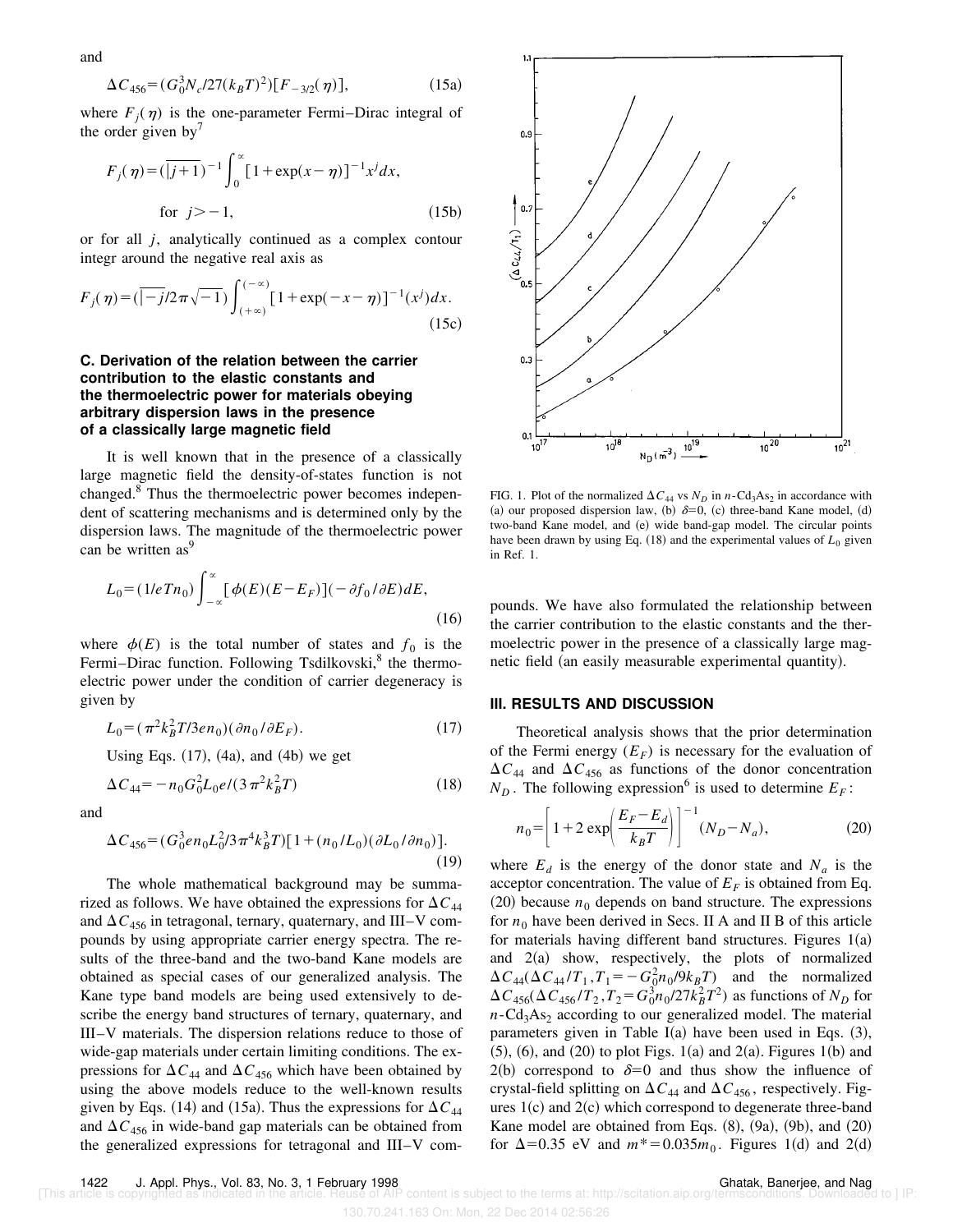$$
\Delta C_{456} = (G_0^3 N_c / 27(k_B T)^2) [F_{-3/2}(\eta)], \qquad (15a)
$$

where  $F_j(\eta)$  is the one-parameter Fermi–Dirac integral of the order given by $\prime$ 

$$
F_j(\eta) = (\overline{|j+1})^{-1} \int_0^\infty [1 + \exp(x - \eta)]^{-1} x^j dx,
$$
  
for  $j > -1$ , (15b)

or for all *j*, analytically continued as a complex contour integr around the negative real axis as

$$
F_j(\eta) = (\overline{|-j/2\pi\sqrt{-1}}) \int_{(+\infty)}^{(-\infty)} [1 + \exp(-x - \eta)]^{-1} (x^j) dx.
$$
 (15c)

## **C. Derivation of the relation between the carrier contribution to the elastic constants and the thermoelectric power for materials obeying arbitrary dispersion laws in the presence of a classically large magnetic field**

It is well known that in the presence of a classically large magnetic field the density-of-states function is not changed.<sup>8</sup> Thus the thermoelectric power becomes independent of scattering mechanisms and is determined only by the dispersion laws. The magnitude of the thermoelectric power can be written as<sup>9</sup>

$$
L_0 = (1/eTn_0) \int_{-\infty}^{\infty} [\phi(E)(E - E_F)](-\partial f_0/\partial E)dE,
$$
\n(16)

where  $\phi(E)$  is the total number of states and  $f_0$  is the Fermi–Dirac function. Following Tsdilkovski,<sup>8</sup> the thermoelectric power under the condition of carrier degeneracy is given by

$$
L_0 = (\pi^2 k_B^2 T / 3en_0)(\partial n_0 / \partial E_F). \tag{17}
$$

Using Eqs.  $(17)$ ,  $(4a)$ , and  $(4b)$  we get

$$
\Delta C_{44} = -n_0 G_0^2 L_0 e / (3 \pi^2 k_B^2 T) \tag{18}
$$

and

and

$$
\Delta C_{456} = (G_0^3 e n_0 L_0^2 / 3 \pi^4 k_B^3 T) [1 + (n_0 / L_0) (\partial L_0 / \partial n_0)].
$$
\n(19)

The whole mathematical background may be summarized as follows. We have obtained the expressions for  $\Delta C_{44}$ and  $\Delta C_{456}$  in tetragonal, ternary, quaternary, and III–V compounds by using appropriate carrier energy spectra. The results of the three-band and the two-band Kane models are obtained as special cases of our generalized analysis. The Kane type band models are being used extensively to describe the energy band structures of ternary, quaternary, and III–V materials. The dispersion relations reduce to those of wide-gap materials under certain limiting conditions. The expressions for  $\Delta C_{44}$  and  $\Delta C_{456}$  which have been obtained by using the above models reduce to the well-known results given by Eqs. (14) and (15a). Thus the expressions for  $\Delta C_{44}$ and  $\Delta C_{456}$  in wide-band gap materials can be obtained from the generalized expressions for tetragonal and III–V com-



FIG. 1. Plot of the normalized  $\Delta C_{44}$  vs  $N_D$  in *n*-Cd<sub>3</sub>As<sub>2</sub> in accordance with (a) our proposed dispersion law, (b)  $\delta=0$ , (c) three-band Kane model, (d) two-band Kane model, and (e) wide band-gap model. The circular points have been drawn by using Eq.  $(18)$  and the experimental values of  $L_0$  given in Ref. 1.

pounds. We have also formulated the relationship between the carrier contribution to the elastic constants and the thermoelectric power in the presence of a classically large magnetic field (an easily measurable experimental quantity).

#### **III. RESULTS AND DISCUSSION**

Theoretical analysis shows that the prior determination of the Fermi energy  $(E_F)$  is necessary for the evaluation of  $\Delta C_{44}$  and  $\Delta C_{456}$  as functions of the donor concentration  $N_D$ . The following expression<sup>6</sup> is used to determine  $E_F$ :

$$
n_0 = \left[1 + 2 \exp\left(\frac{E_F - E_d}{k_B T}\right)\right]^{-1} (N_D - N_a),
$$
 (20)

where  $E_d$  is the energy of the donor state and  $N_a$  is the acceptor concentration. The value of  $E_F$  is obtained from Eq.  $(20)$  because  $n_0$  depends on band structure. The expressions for  $n_0$  have been derived in Secs. II A and II B of this article for materials having different band structures. Figures  $1(a)$ and  $2(a)$  show, respectively, the plots of normalized  $\Delta C_{44} (\Delta C_{44} / T_1, T_1 = -G_0^2 n_0 / 9k_B T)$  and the normalized  $\Delta C_{456} (\Delta C_{456} / T_2, T_2 = G_0^3 n_0 / 27 k_B^2 T^2)$  as functions of  $N_D$  for  $n\text{-Cd}_3\text{As}_2$  according to our generalized model. The material parameters given in Table I(a) have been used in Eqs.  $(3)$ ,  $(5)$ ,  $(6)$ , and  $(20)$  to plot Figs. 1 $(a)$  and  $2(a)$ . Figures 1 $(b)$  and  $2(b)$  correspond to  $\delta=0$  and thus show the influence of crystal-field splitting on  $\Delta C_{44}$  and  $\Delta C_{456}$ , respectively. Figures  $1(c)$  and  $2(c)$  which correspond to degenerate three-band Kane model are obtained from Eqs.  $(8)$ ,  $(9a)$ ,  $(9b)$ , and  $(20)$ for  $\Delta = 0.35$  eV and  $m^* = 0.035m_0$ . Figures 1(d) and 2(d)

130.70.241.163 On: Mon, 22 Dec 2014 02:56:26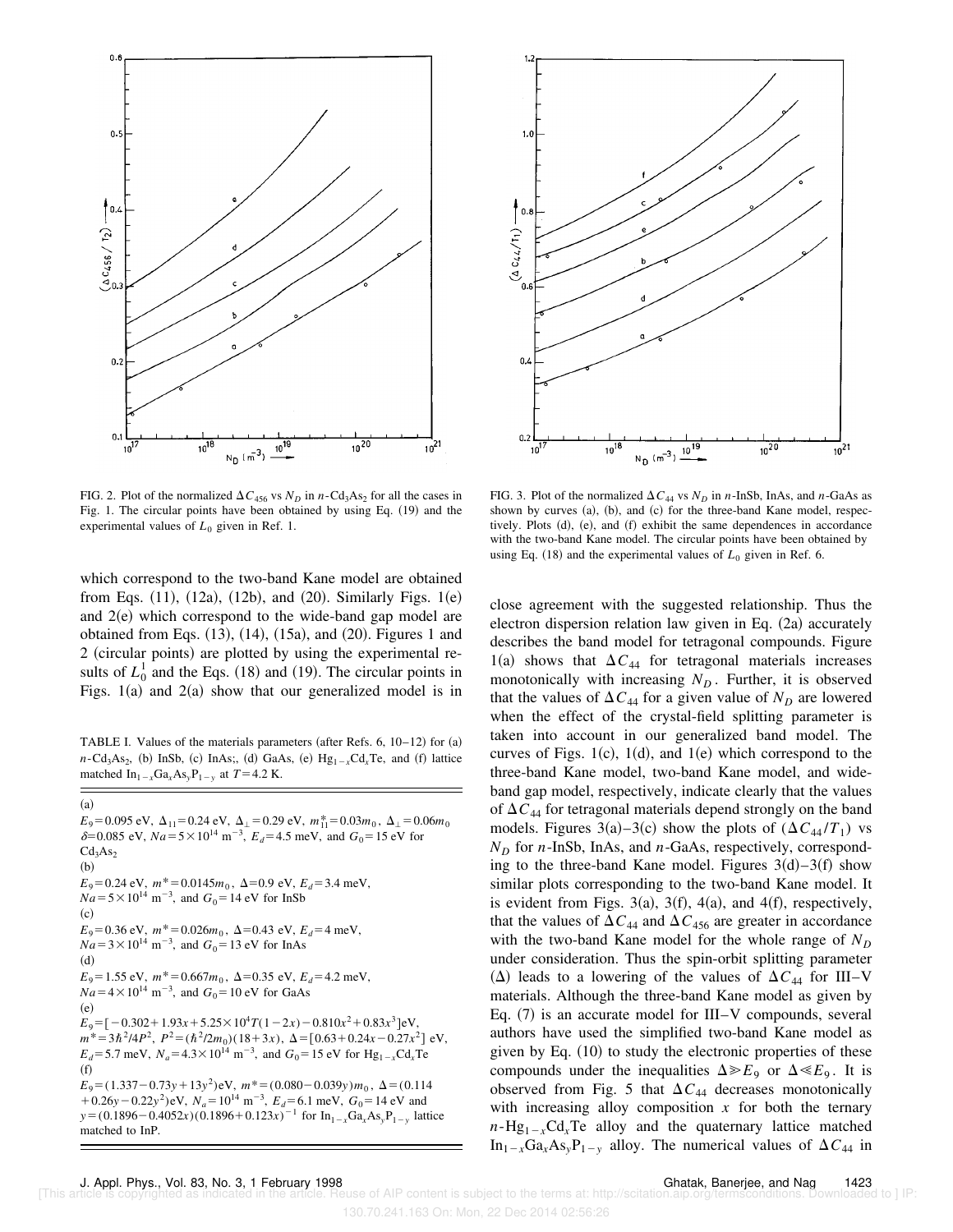

FIG. 2. Plot of the normalized  $\Delta C_{456}$  vs  $N_D$  in *n*-Cd<sub>3</sub>As<sub>2</sub> for all the cases in Fig. 1. The circular points have been obtained by using Eq. (19) and the experimental values of  $L_0$  given in Ref. 1.

which correspond to the two-band Kane model are obtained from Eqs.  $(11)$ ,  $(12a)$ ,  $(12b)$ , and  $(20)$ . Similarly Figs.  $1(e)$ and  $2(e)$  which correspond to the wide-band gap model are obtained from Eqs.  $(13)$ ,  $(14)$ ,  $(15a)$ , and  $(20)$ . Figures 1 and 2 (circular points) are plotted by using the experimental results of  $L_0^1$  and the Eqs. (18) and (19). The circular points in Figs.  $1(a)$  and  $2(a)$  show that our generalized model is in

TABLE I. Values of the materials parameters (after Refs. 6,  $10-12$ ) for  $(a)$  $n\text{-Cd}_3\text{As}_2$ , (b) InSb, (c) InAs;, (d) GaAs, (e)  $\text{Hg}_{1-x}\text{Cd}_x\text{Te}$ , and (f) lattice matched  $\text{In}_{1-x}\text{Ga}_x\text{As}_y\text{P}_{1-y}$  at  $T=4.2$  K.

 $E_9$ =0.095 eV,  $\Delta_{11}$ =0.24 eV,  $\Delta_{\perp}$ =0.29 eV,  $m_{11}^*$ =0.03 $m_0$ ,  $\Delta_{\perp}$ =0.06 $m_0$  $\delta = 0.085$  eV,  $Na = 5 \times 10^{14}$  m<sup>-3</sup>,  $E_d = 4.5$  meV, and  $G_0 = 15$  eV for  $Cd<sub>3</sub>As<sub>2</sub>$  $(b)$  $E_9=0.24 \text{ eV}, m^*=0.0145m_0, \Delta=0.9 \text{ eV}, E_d=3.4 \text{ meV},$  $Na = 5 \times 10^{14} \text{ m}^{-3}$ , and  $G_0 = 14 \text{ eV}$  for InSb  $(c)$  $E_9 = 0.36$  eV,  $m^* = 0.026m_0$ ,  $\Delta = 0.43$  eV,  $E_d = 4$  meV,  $\sqrt{Na}$  = 3 × 10<sup>14</sup> m<sup>-3</sup>, and  $G_0$  = 13 eV for InAs  $(d)$  $E_9$ =1.55 eV,  $m^*$ =0.667 $m_0$ ,  $\Delta$ =0.35 eV,  $E_d$ =4.2 meV,  $Na = 4 \times 10^{14} \text{ m}^{-3}$ , and  $G_0 = 10 \text{ eV}$  for GaAs  $(e)$  $E_9 = [-0.302 + 1.93x + 5.25 \times 10^4 T (1 - 2x) - 0.810x^2 + 0.83x^3]$  eV,  $m^* = 3\hbar^2/4P^2$ ,  $P^2 = (\hbar^2/2m_0)(18+3x)$ ,  $\Delta = [0.63+0.24x-0.27x^2]$  eV,  $E_d$ =5.7 meV,  $N_a$ =4.3×10<sup>14</sup> m<sup>-3</sup>, and  $G_0$ =15 eV for Hg<sub>1-x</sub>Cd<sub>x</sub>Te  $(f)$  $E_9 = (1.337 - 0.73y + 13y^2)$ eV,  $m^* = (0.080 - 0.039y)m_0$ ,  $\Delta = (0.114$  $(1.26y - 0.22y^2)$  eV,  $N_a = 10^{14}$  m<sup>-3</sup>,  $E_d = 6.1$  meV,  $G_0 = 14$  eV and  $y = (0.1896 - 0.4052x)(0.1896 + 0.123x)^{-1}$  for  $In_{1-x}Ga_xAs_yP_{1-y}$  lattice matched to InP.



FIG. 3. Plot of the normalized  $\Delta C_{44}$  vs  $N_D$  in *n*-InSb, InAs, and *n*-GaAs as shown by curves  $(a)$ ,  $(b)$ , and  $(c)$  for the three-band Kane model, respectively. Plots  $(d)$ ,  $(e)$ , and  $(f)$  exhibit the same dependences in accordance with the two-band Kane model. The circular points have been obtained by using Eq.  $(18)$  and the experimental values of  $L_0$  given in Ref. 6.

close agreement with the suggested relationship. Thus the electron dispersion relation law given in Eq.  $(2a)$  accurately describes the band model for tetragonal compounds. Figure 1(a) shows that  $\Delta C_{44}$  for tetragonal materials increases monotonically with increasing  $N_D$ . Further, it is observed that the values of  $\Delta C_{44}$  for a given value of  $N_D$  are lowered when the effect of the crystal-field splitting parameter is taken into account in our generalized band model. The curves of Figs. 1(c), 1(d), and 1(e) which correspond to the three-band Kane model, two-band Kane model, and wideband gap model, respectively, indicate clearly that the values of  $\Delta C_{44}$  for tetragonal materials depend strongly on the band models. Figures 3(a)–3(c) show the plots of  $(\Delta C_{44} / T_1)$  vs  $N<sub>D</sub>$  for *n*-InSb, InAs, and *n*-GaAs, respectively, corresponding to the three-band Kane model. Figures  $3(d) - 3(f)$  show similar plots corresponding to the two-band Kane model. It is evident from Figs. 3(a), 3(f), 4(a), and 4(f), respectively, that the values of  $\Delta C_{44}$  and  $\Delta C_{456}$  are greater in accordance with the two-band Kane model for the whole range of  $N_D$ under consideration. Thus the spin-orbit splitting parameter  $(\Delta)$  leads to a lowering of the values of  $\Delta C_{44}$  for III–V materials. Although the three-band Kane model as given by Eq.  $(7)$  is an accurate model for III–V compounds, several authors have used the simplified two-band Kane model as given by Eq.  $(10)$  to study the electronic properties of these compounds under the inequalities  $\Delta \gg E_9$  or  $\Delta \ll E_9$ . It is observed from Fig. 5 that  $\Delta C_{44}$  decreases monotonically with increasing alloy composition x for both the ternary  $n-Hg_{1-x}Cd_xTe$  alloy and the quaternary lattice matched  $In_{1-x}Ga_xAs_yP_{1-y}$  alloy. The numerical values of  $\Delta C_{44}$  in

 $(a)$ 

130.70.241.163 On: Mon, 22 Dec 2014 02:56:26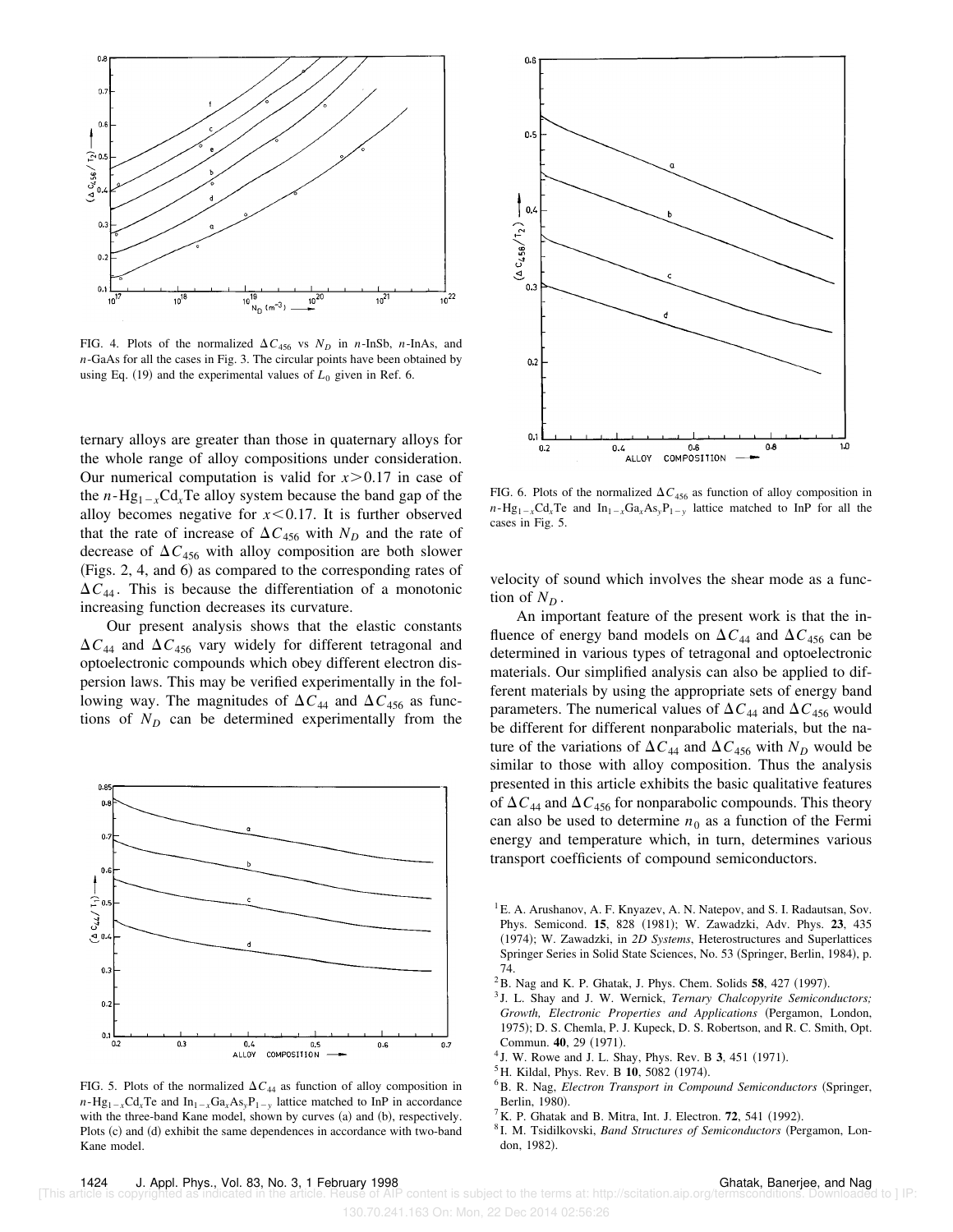

FIG. 4. Plots of the normalized  $\Delta C_{456}$  vs  $N_D$  in *n*-InSb, *n*-InAs, and *n*-GaAs for all the cases in Fig. 3. The circular points have been obtained by using Eq.  $(19)$  and the experimental values of  $L_0$  given in Ref. 6.

ternary alloys are greater than those in quaternary alloys for the whole range of alloy compositions under consideration. Our numerical computation is valid for  $x > 0.17$  in case of the *n*-Hg<sub>1-x</sub>Cd<sub>x</sub>Te alloy system because the band gap of the alloy becomes negative for  $x \le 0.17$ . It is further observed that the rate of increase of  $\Delta C_{456}$  with  $N_D$  and the rate of decrease of  $\Delta C_{456}$  with alloy composition are both slower  $(Figs. 2, 4, and 6)$  as compared to the corresponding rates of  $\Delta C_{44}$ . This is because the differentiation of a monotonic increasing function decreases its curvature.

Our present analysis shows that the elastic constants  $\Delta C_{44}$  and  $\Delta C_{456}$  vary widely for different tetragonal and optoelectronic compounds which obey different electron dispersion laws. This may be verified experimentally in the following way. The magnitudes of  $\Delta C_{44}$  and  $\Delta C_{456}$  as functions of  $N_D$  can be determined experimentally from the



FIG. 5. Plots of the normalized  $\Delta C_{44}$  as function of alloy composition in  $n-Hg_{1-x}Cd_{x}Te$  and  $In_{1-x}Ga_{x}As_{y}P_{1-y}$  lattice matched to InP in accordance with the three-band Kane model, shown by curves (a) and (b), respectively. Plots (c) and (d) exhibit the same dependences in accordance with two-band Kane model.



FIG. 6. Plots of the normalized  $\Delta C_{456}$  as function of alloy composition in  $n-Hg_{1-x}Cd_xTe$  and  $In_{1-x}Ga_xAs_yP_{1-y}$  lattice matched to InP for all the cases in Fig. 5.

velocity of sound which involves the shear mode as a function of  $N_D$ .

An important feature of the present work is that the influence of energy band models on  $\Delta C_{44}$  and  $\Delta C_{456}$  can be determined in various types of tetragonal and optoelectronic materials. Our simplified analysis can also be applied to different materials by using the appropriate sets of energy band parameters. The numerical values of  $\Delta C_{44}$  and  $\Delta C_{456}$  would be different for different nonparabolic materials, but the nature of the variations of  $\Delta C_{44}$  and  $\Delta C_{456}$  with  $N_D$  would be similar to those with alloy composition. Thus the analysis presented in this article exhibits the basic qualitative features of  $\Delta C_{44}$  and  $\Delta C_{456}$  for nonparabolic compounds. This theory can also be used to determine  $n_0$  as a function of the Fermi energy and temperature which, in turn, determines various transport coefficients of compound semiconductors.

- $2$ B. Nag and K. P. Ghatak, J. Phys. Chem. Solids  $58$ , 427 (1997).
- 3 J. L. Shay and J. W. Wernick, *Ternary Chalcopyrite Semiconductors;* Growth, Electronic Properties and Applications (Pergamon, London, 1975); D. S. Chemla, P. J. Kupeck, D. S. Robertson, and R. C. Smith, Opt. Commun. **40**, 29 (1971).
- <sup>4</sup> J. W. Rowe and J. L. Shay, Phys. Rev. B 3, 451 (1971).
- <sup>5</sup> H. Kildal, Phys. Rev. B **10**, 5082 (1974).
- <sup>6</sup>B. R. Nag, *Electron Transport in Compound Semiconductors* (Springer, Berlin, 1980).
- ${}^{7}$ K. P. Ghatak and B. Mitra, Int. J. Electron. **72**, 541 (1992).
- <sup>8</sup> I. M. Tsidilkovski, *Band Structures of Semiconductors* (Pergamon, London, 1982).

 ${}^{1}E$ . A. Arushanov, A. F. Knyazev, A. N. Natepov, and S. I. Radautsan, Sov. Phys. Semicond. **15**, 828 (1981); W. Zawadzki, Adv. Phys. **23**, 435 (1974); W. Zawadzki, in 2D Systems, Heterostructures and Superlattices Springer Series in Solid State Sciences, No. 53 (Springer, Berlin, 1984), p. 74.